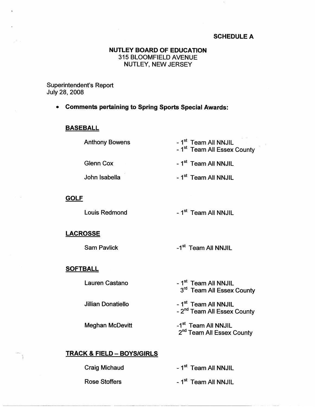### **SCHEDULE A**

### **NUTLEY BOARD OF EDUCATION**  315 BLOOMFIELD AVENUE NUTLEY, NEW JERSEY

Superintendent's Report July 28, 2008

• **Comments pertaining to Spring Sports Special Awards:** 

### **BASEBALL**

| <b>Anthony Bowens</b> | - 1 <sup>st</sup> Team All NNJIL        |
|-----------------------|-----------------------------------------|
|                       | - 1 <sup>st</sup> Team All Essex County |

Glenn Cox

John Isabella

**GOLF** 

Louis Redmond

- 1<sup>st</sup> Team All NNJIL

- 1<sup>st</sup> Team All NNJIL

- 1<sup>st</sup> Team All NNJIL

#### **LACROSSE**

Sam Pavlick

-1<sup>st</sup> Team All NNJIL

#### **SOFTBALL**

 $\rightarrow$ 

Lauren Castano

Jillian Donatiello

Meghan McDevitt

- 1<sup>st</sup> Team All NNJIL 3<sup>rd</sup> Team All Essex County

- 1<sup>st</sup> Team All NNJIL - 2<sup>nd</sup> Team All Essex County

-1<sup>st</sup> Team All NNJIL 2<sup>nd</sup> Team All Essex County

## **TRACK** & FIELD - **BOYS/GIRLS**

Craig Michaud

Rose Stoffers

- 1<sup>st</sup> Team All NNJIL

- 1<sup>st</sup> Team All NNJIL